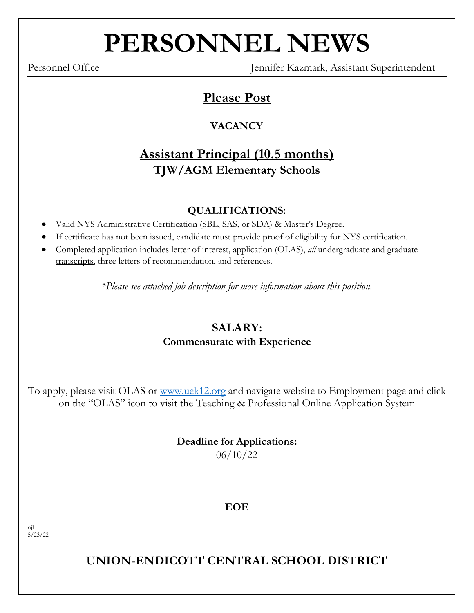# **PERSONNEL NEWS**

Personnel Office Jennifer Kazmark, Assistant Superintendent

# **Please Post**

## **VACANCY**

# **Assistant Principal (10.5 months) TJW/AGM Elementary Schools**

## **QUALIFICATIONS:**

- Valid NYS Administrative Certification (SBL, SAS, or SDA) & Master's Degree.
- If certificate has not been issued, candidate must provide proof of eligibility for NYS certification.
- Completed application includes letter of interest, application (OLAS), *all* undergraduate and graduate transcripts, three letters of recommendation, and references.

*\*Please see attached job description for more information about this position.*

## **SALARY: Commensurate with Experience**

# To apply, please visit OLAS or [www.uek12.org](http://www.uek12.org/) and navigate website to Employment page and click on the "OLAS" icon to visit the Teaching & Professional Online Application System

## **Deadline for Applications:** 06/10/22

## **EOE**

njl  $5/23/22$ 

**UNION-ENDICOTT CENTRAL SCHOOL DISTRICT**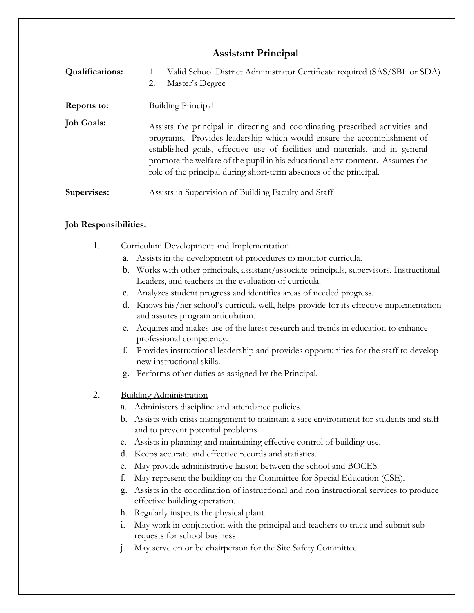#### **Assistant Principal**

| <b>Qualifications:</b> | Valid School District Administrator Certificate required (SAS/SBL or SDA)<br>Master's Degree<br>2.                                                                                                                                                                                                                                                                                            |
|------------------------|-----------------------------------------------------------------------------------------------------------------------------------------------------------------------------------------------------------------------------------------------------------------------------------------------------------------------------------------------------------------------------------------------|
| Reports to:            | <b>Building Principal</b>                                                                                                                                                                                                                                                                                                                                                                     |
| <b>Job Goals:</b>      | Assists the principal in directing and coordinating prescribed activities and<br>programs. Provides leadership which would ensure the accomplishment of<br>established goals, effective use of facilities and materials, and in general<br>promote the welfare of the pupil in his educational environment. Assumes the<br>role of the principal during short-term absences of the principal. |
| Supervises:            | Assists in Supervision of Building Faculty and Staff                                                                                                                                                                                                                                                                                                                                          |

#### **Job Responsibilities:**

- 1. Curriculum Development and Implementation
	- a. Assists in the development of procedures to monitor curricula.
	- b. Works with other principals, assistant/associate principals, supervisors, Instructional Leaders, and teachers in the evaluation of curricula.
	- c. Analyzes student progress and identifies areas of needed progress.
	- d. Knows his/her school's curricula well, helps provide for its effective implementation and assures program articulation.
	- e. Acquires and makes use of the latest research and trends in education to enhance professional competency.
	- f. Provides instructional leadership and provides opportunities for the staff to develop new instructional skills.
	- g. Performs other duties as assigned by the Principal.
- 2. Building Administration
	- a. Administers discipline and attendance policies.
	- b. Assists with crisis management to maintain a safe environment for students and staff and to prevent potential problems.
	- c. Assists in planning and maintaining effective control of building use.
	- d. Keeps accurate and effective records and statistics.
	- e. May provide administrative liaison between the school and BOCES.
	- f. May represent the building on the Committee for Special Education (CSE).
	- g. Assists in the coordination of instructional and non-instructional services to produce effective building operation.
	- h. Regularly inspects the physical plant.
	- i. May work in conjunction with the principal and teachers to track and submit sub requests for school business
	- j. May serve on or be chairperson for the Site Safety Committee